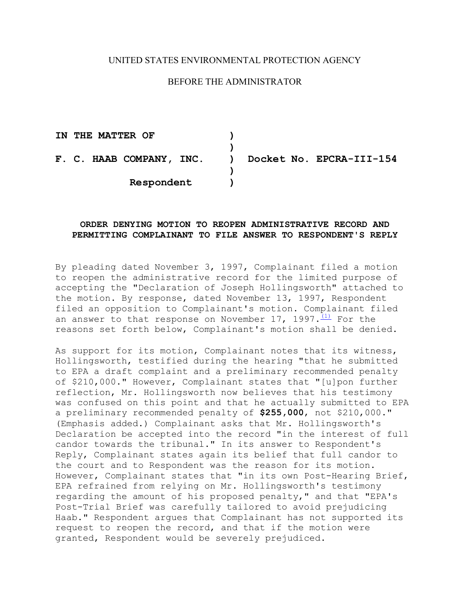# UNITED STATES ENVIRONMENTAL PROTECTION AGENCY

# BEFORE THE ADMINISTRATOR

**IN THE MATTER OF ) ) F. C. HAAB COMPANY, INC. ) Docket No. EPCRA-III-154 ) Respondent )** 

## **ORDER DENYING MOTION TO REOPEN ADMINISTRATIVE RECORD AND PERMITTING COMPLAINANT TO FILE ANSWER TO RESPONDENT'S REPLY**

By pleading dated November 3, 1997, Complainant filed a motion to reopen the administrative record for the limited purpose of accepting the "Declaration of Joseph Hollingsworth" attached to the motion. By response, dated November 13, 1997, Respondent filed an opposition to Complainant's motion. Complainant filed an answer to that response on November 17, 1997. $\frac{(1)}{(1)}$  For the reasons set forth below, Complainant's motion shall be denied.

As support for its motion, Complainant notes that its witness, Hollingsworth, testified during the hearing "that he submitted to EPA a draft complaint and a preliminary recommended penalty of \$210,000." However, Complainant states that "[u]pon further reflection, Mr. Hollingsworth now believes that his testimony was confused on this point and that he actually submitted to EPA a preliminary recommended penalty of **\$255,000**, not \$210,000." (Emphasis added.) Complainant asks that Mr. Hollingsworth's Declaration be accepted into the record "in the interest of full candor towards the tribunal." In its answer to Respondent's Reply, Complainant states again its belief that full candor to the court and to Respondent was the reason for its motion. However, Complainant states that "in its own Post-Hearing Brief, EPA refrained from relying on Mr. Hollingsworth's testimony regarding the amount of his proposed penalty," and that "EPA's Post-Trial Brief was carefully tailored to avoid prejudicing Haab." Respondent argues that Complainant has not supported its request to reopen the record, and that if the motion were granted, Respondent would be severely prejudiced.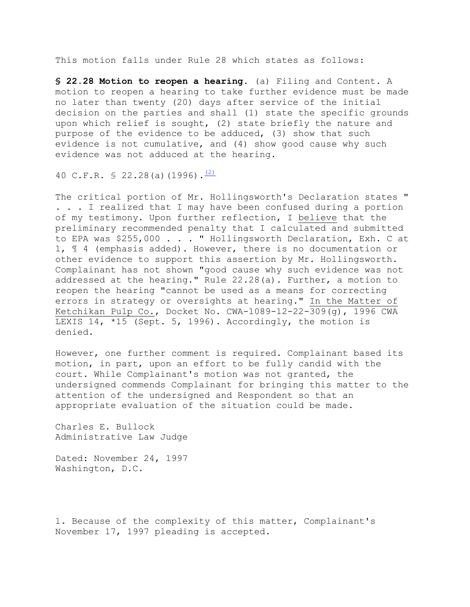This motion falls under Rule 28 which states as follows:

**§ 22.28 Motion to reopen a hearing.** (a) Filing and Content. A motion to reopen a hearing to take further evidence must be made no later than twenty (20) days after service of the initial decision on the parties and shall (1) state the specific grounds upon which relief is sought, (2) state briefly the nature and purpose of the evidence to be adduced, (3) show that such evidence is not cumulative, and (4) show good cause why such evidence was not adduced at the hearing.

40 C.F.R. § 22.28(a)(1996).<sup>(2)</sup>

The critical portion of Mr. Hollingsworth's Declaration states " . . . I realized that I may have been confused during a portion of my testimony. Upon further reflection, I believe that the preliminary recommended penalty that I calculated and submitted to EPA was \$255,000 . . . " Hollingsworth Declaration, Exh. C at 1, ¶ 4 (emphasis added). However, there is no documentation or other evidence to support this assertion by Mr. Hollingsworth. Complainant has not shown "good cause why such evidence was not addressed at the hearing." Rule 22.28(a). Further, a motion to reopen the hearing "cannot be used as a means for correcting errors in strategy or oversights at hearing." In the Matter of Ketchikan Pulp Co., Docket No. CWA-1089-12-22-309(g), 1996 CWA LEXIS 14, \*15 (Sept. 5, 1996). Accordingly, the motion is denied.

However, one further comment is required. Complainant based its motion, in part, upon an effort to be fully candid with the court. While Complainant's motion was not granted, the undersigned commends Complainant for bringing this matter to the attention of the undersigned and Respondent so that an appropriate evaluation of the situation could be made.

Charles E. Bullock Administrative Law Judge

Dated: November 24, 1997 Washington, D.C.

1. Because of the complexity of this matter, Complainant's November 17, 1997 pleading is accepted.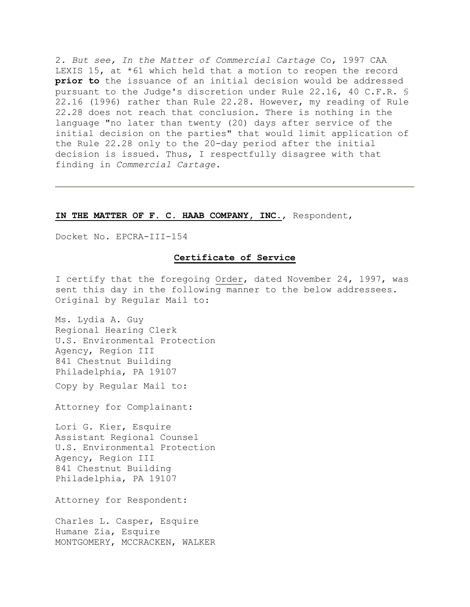2. *But see, In the Matter of Commercial Cartage* Co, 1997 CAA LEXIS 15, at \*61 which held that a motion to reopen the record **prior to** the issuance of an initial decision would be addressed pursuant to the Judge's discretion under Rule 22.16, 40 C.F.R. § 22.16 (1996) rather than Rule 22.28. However, my reading of Rule 22.28 does not reach that conclusion. There is nothing in the language "no later than twenty (20) days after service of the initial decision on the parties" that would limit application of the Rule 22.28 only to the 20-day period after the initial decision is issued. Thus, I respectfully disagree with that finding in *Commercial Cartage*.

#### **IN THE MATTER OF F. C. HAAB COMPANY, INC.**, Respondent,

Docket No. EPCRA-III-154

### **Certificate of Service**

I certify that the foregoing Order, dated November 24, 1997, was sent this day in the following manner to the below addressees. Original by Regular Mail to:

Ms. Lydia A. Guy Regional Hearing Clerk U.S. Environmental Protection Agency, Region III 841 Chestnut Building Philadelphia, PA 19107 Copy by Regular Mail to:

Attorney for Complainant:

Lori G. Kier, Esquire Assistant Regional Counsel U.S. Environmental Protection Agency, Region III 841 Chestnut Building Philadelphia, PA 19107

Attorney for Respondent:

Charles L. Casper, Esquire Humane Zia, Esquire MONTGOMERY, MCCRACKEN, WALKER